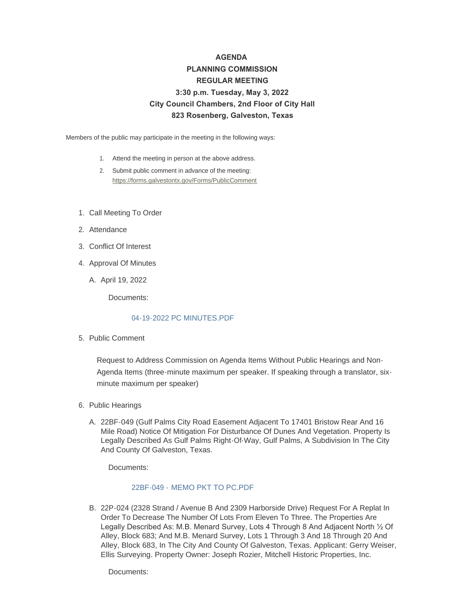# **AGENDA PLANNING COMMISSION REGULAR MEETING 3:30 p.m. Tuesday, May 3, 2022 City Council Chambers, 2nd Floor of City Hall 823 Rosenberg, Galveston, Texas**

Members of the public may participate in the meeting in the following ways:

- 1. Attend the meeting in person at the above address.
- 2. Submit public comment in advance of the meeting: <https://forms.galvestontx.gov/Forms/PublicComment>
- 1. Call Meeting To Order
- 2. Attendance
- Conflict Of Interest 3.
- 4. Approval Of Minutes
	- A. April 19, 2022

Documents:

#### 04-19-2022 PC MINUTES PDF

5. Public Comment

Request to Address Commission on Agenda Items Without Public Hearings and Non-Agenda Items (three-minute maximum per speaker. If speaking through a translator, sixminute maximum per speaker)

- 6. Public Hearings
	- 22BF-049 (Gulf Palms City Road Easement Adjacent To 17401 Bristow Rear And 16 A. Mile Road) Notice Of Mitigation For Disturbance Of Dunes And Vegetation. Property Is Legally Described As Gulf Palms Right-Of-Way, Gulf Palms, A Subdivision In The City And County Of Galveston, Texas.

Documents:

#### 22BF-049 - [MEMO PKT TO PC.PDF](https://www.galvestontx.gov/AgendaCenter/ViewFile/Item/14159?fileID=32815)

B. 22P-024 (2328 Strand / Avenue B And 2309 Harborside Drive) Request For A Replat In Order To Decrease The Number Of Lots From Eleven To Three. The Properties Are Legally Described As: M.B. Menard Survey, Lots 4 Through 8 And Adjacent North ½ Of Alley, Block 683; And M.B. Menard Survey, Lots 1 Through 3 And 18 Through 20 And Alley, Block 683, In The City And County Of Galveston, Texas. Applicant: Gerry Weiser, Ellis Surveying. Property Owner: Joseph Rozier, Mitchell Historic Properties, Inc.

Documents: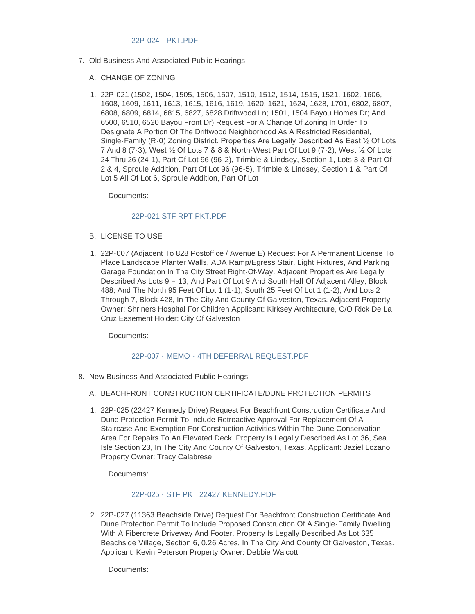- 7. Old Business And Associated Public Hearings
	- A. CHANGE OF ZONING
	- 22P-021 (1502, 1504, 1505, 1506, 1507, 1510, 1512, 1514, 1515, 1521, 1602, 1606, 1. 1608, 1609, 1611, 1613, 1615, 1616, 1619, 1620, 1621, 1624, 1628, 1701, 6802, 6807, 6808, 6809, 6814, 6815, 6827, 6828 Driftwood Ln; 1501, 1504 Bayou Homes Dr; And 6500, 6510, 6520 Bayou Front Dr) Request For A Change Of Zoning In Order To Designate A Portion Of The Driftwood Neighborhood As A Restricted Residential, Single-Family (R-0) Zoning District. Properties Are Legally Described As East ½ Of Lots 7 And 8 (7-3), West ½ Of Lots 7 & 8 & North-West Part Of Lot 9 (7-2), West ½ Of Lots 24 Thru 26 (24-1), Part Of Lot 96 (96-2), Trimble & Lindsey, Section 1, Lots 3 & Part Of 2 & 4, Sproule Addition, Part Of Lot 96 (96-5), Trimble & Lindsey, Section 1 & Part Of Lot 5 All Of Lot 6, Sproule Addition, Part Of Lot

Documents:

## [22P-021 STF RPT PKT.PDF](https://www.galvestontx.gov/AgendaCenter/ViewFile/Item/14161?fileID=32817)

- B. LICENSE TO USE
- 22P-007 (Adjacent To 828 Postoffice / Avenue E) Request For A Permanent License To 1. Place Landscape Planter Walls, ADA Ramp/Egress Stair, Light Fixtures, And Parking Garage Foundation In The City Street Right-Of-Way. Adjacent Properties Are Legally Described As Lots 9 – 13, And Part Of Lot 9 And South Half Of Adjacent Alley, Block 488; And The North 95 Feet Of Lot 1 (1-1), South 25 Feet Of Lot 1 (1-2), And Lots 2 Through 7, Block 428, In The City And County Of Galveston, Texas. Adjacent Property Owner: Shriners Hospital For Children Applicant: Kirksey Architecture, C/O Rick De La Cruz Easement Holder: City Of Galveston

Documents:

## 22P-007 - MEMO - [4TH DEFERRAL REQUEST.PDF](https://www.galvestontx.gov/AgendaCenter/ViewFile/Item/14162?fileID=32818)

- 8. New Business And Associated Public Hearings
	- A. BEACHFRONT CONSTRUCTION CERTIFICATE/DUNE PROTECTION PERMITS
	- 22P-025 (22427 Kennedy Drive) Request For Beachfront Construction Certificate And 1. Dune Protection Permit To Include Retroactive Approval For Replacement Of A Staircase And Exemption For Construction Activities Within The Dune Conservation Area For Repairs To An Elevated Deck. Property Is Legally Described As Lot 36, Sea Isle Section 23, In The City And County Of Galveston, Texas. Applicant: Jaziel Lozano Property Owner: Tracy Calabrese

Documents:

## [22P-025 - STF PKT 22427 KENNEDY.PDF](https://www.galvestontx.gov/AgendaCenter/ViewFile/Item/14177?fileID=32867)

2. 22P-027 (11363 Beachside Drive) Request For Beachfront Construction Certificate And Dune Protection Permit To Include Proposed Construction Of A Single-Family Dwelling With A Fibercrete Driveway And Footer. Property Is Legally Described As Lot 635 Beachside Village, Section 6, 0.26 Acres, In The City And County Of Galveston, Texas. Applicant: Kevin Peterson Property Owner: Debbie Walcott

Documents: